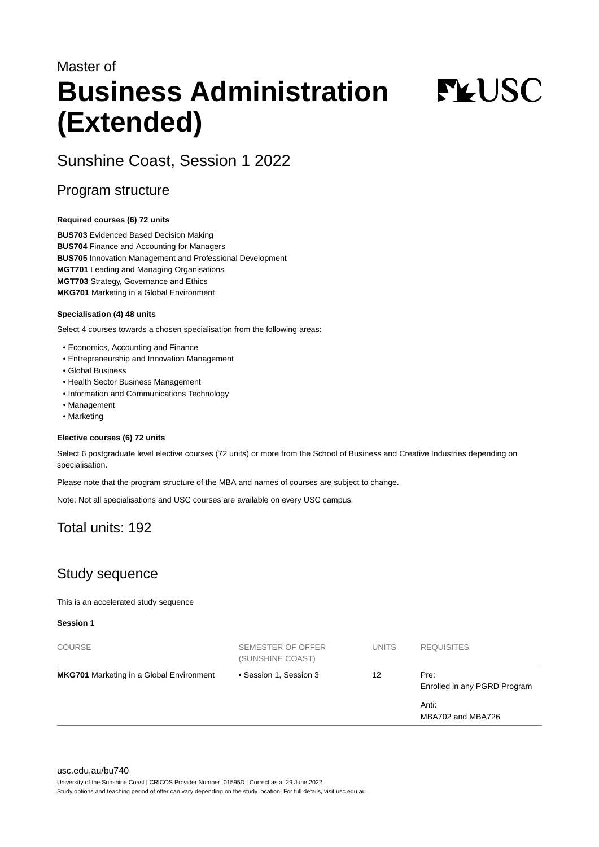# Master of **Business Administration (Extended)**

**FYUSC** 

# Sunshine Coast, Session 1 2022

## Program structure

#### **Required courses (6) 72 units**

**BUS703** Evidenced Based Decision Making **BUS704** Finance and Accounting for Managers **BUS705** Innovation Management and Professional Development **MGT701** Leading and Managing Organisations **MGT703** Strategy, Governance and Ethics **MKG701** Marketing in a Global Environment

#### **Specialisation (4) 48 units**

Select 4 courses towards a chosen specialisation from the following areas:

- Economics, Accounting and Finance
- Entrepreneurship and Innovation Management
- Global Business
- Health Sector Business Management
- Information and Communications Technology
- Management
- Marketing

#### **Elective courses (6) 72 units**

Select 6 postgraduate level elective courses (72 units) or more from the School of Business and Creative Industries depending on specialisation.

Please note that the program structure of the MBA and names of courses are subject to change.

Note: Not all specialisations and USC courses are available on every USC campus.

# Total units: 192

# Study sequence

This is an accelerated study sequence

**Session 1**

| <b>COURSE</b>                                   | SEMESTER OF OFFER<br>(SUNSHINE COAST) | <b>UNITS</b> | <b>REQUISITES</b>                    |
|-------------------------------------------------|---------------------------------------|--------------|--------------------------------------|
| <b>MKG701</b> Marketing in a Global Environment | • Session 1, Session 3                | 12           | Pre:<br>Enrolled in any PGRD Program |
|                                                 |                                       |              | Anti:<br>MBA702 and MBA726           |

[usc.edu.au/bu740](https://www.usc.edu.au/bu740)

University of the Sunshine Coast | CRICOS Provider Number: 01595D | Correct as at 29 June 2022

Study options and teaching period of offer can vary depending on the study location. For full details, visit usc.edu.au.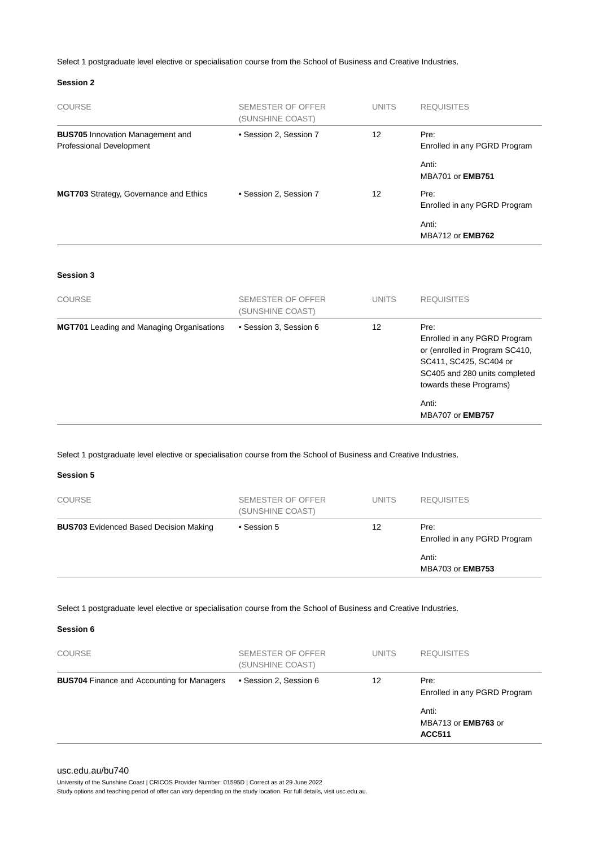Select 1 postgraduate level elective or specialisation course from the School of Business and Creative Industries.

#### **Session 2**

| <b>COURSE</b>                                                       | <b>SEMESTER OF OFFER</b><br>(SUNSHINE COAST) | <b>UNITS</b> | <b>REQUISITES</b>                                                                                                                                            |
|---------------------------------------------------------------------|----------------------------------------------|--------------|--------------------------------------------------------------------------------------------------------------------------------------------------------------|
| <b>BUS705</b> Innovation Management and<br>Professional Development | • Session 2, Session 7                       | 12           | Pre:<br>Enrolled in any PGRD Program                                                                                                                         |
|                                                                     |                                              |              | Anti:<br>MBA701 or EMB751                                                                                                                                    |
| MGT703 Strategy, Governance and Ethics                              | • Session 2, Session 7                       | 12           | Pre:<br>Enrolled in any PGRD Program                                                                                                                         |
|                                                                     |                                              |              | Anti:<br><b>MBA712 or EMB762</b>                                                                                                                             |
| Session 3                                                           |                                              |              |                                                                                                                                                              |
| <b>COURSE</b>                                                       | <b>SEMESTER OF OFFER</b><br>(SUNSHINE COAST) | <b>UNITS</b> | <b>REQUISITES</b>                                                                                                                                            |
| <b>MGT701</b> Leading and Managing Organisations                    | · Session 3, Session 6                       | 12           | Pre:<br>Enrolled in any PGRD Program<br>or (enrolled in Program SC410,<br>SC411, SC425, SC404 or<br>SC405 and 280 units completed<br>towards these Programs) |
|                                                                     |                                              |              | Anti:<br>MBA707 or EMB757                                                                                                                                    |

Select 1 postgraduate level elective or specialisation course from the School of Business and Creative Industries.

**Session 5**

| <b>COURSE</b>                                 | SEMESTER OF OFFER<br>(SUNSHINE COAST) | <b>UNITS</b> | <b>REQUISITES</b>                    |
|-----------------------------------------------|---------------------------------------|--------------|--------------------------------------|
| <b>BUS703</b> Evidenced Based Decision Making | • Session 5                           | 12           | Pre:<br>Enrolled in any PGRD Program |
|                                               |                                       |              | Anti:<br><b>MBA703 or EMB753</b>     |

Select 1 postgraduate level elective or specialisation course from the School of Business and Creative Industries.

**Session 6**

| <b>COURSE</b>                                     | SEMESTER OF OFFER<br>(SUNSHINE COAST) | <b>UNITS</b> | <b>REQUISITES</b>                                    |
|---------------------------------------------------|---------------------------------------|--------------|------------------------------------------------------|
| <b>BUS704</b> Finance and Accounting for Managers | • Session 2, Session 6                | 12           | Pre:<br>Enrolled in any PGRD Program                 |
|                                                   |                                       |              | Anti:<br>MBA713 or <b>EMB763</b> or<br><b>ACC511</b> |

#### [usc.edu.au/bu740](https://www.usc.edu.au/bu740)

University of the Sunshine Coast | CRICOS Provider Number: 01595D | Correct as at 29 June 2022

Study options and teaching period of offer can vary depending on the study location. For full details, visit usc.edu.au.